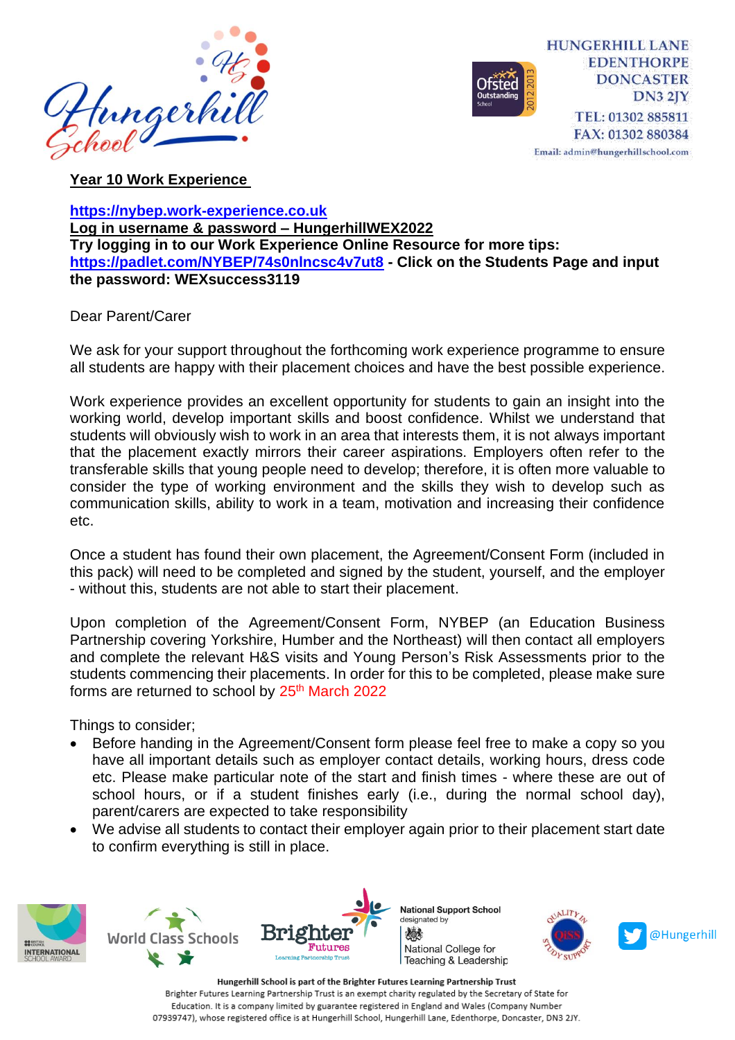



**Year 10 Work Experience** 

**[https://nybep.work-experience.co.uk](https://nybep.work-experience.co.uk/) Log in username & password – HungerhillWEX2022 Try logging in to our Work Experience Online Resource for more tips: <https://padlet.com/NYBEP/74s0nlncsc4v7ut8> - Click on the Students Page and input the password: WEXsuccess3119**

Dear Parent/Carer

We ask for your support throughout the forthcoming work experience programme to ensure all students are happy with their placement choices and have the best possible experience.

Work experience provides an excellent opportunity for students to gain an insight into the working world, develop important skills and boost confidence. Whilst we understand that students will obviously wish to work in an area that interests them, it is not always important that the placement exactly mirrors their career aspirations. Employers often refer to the transferable skills that young people need to develop; therefore, it is often more valuable to consider the type of working environment and the skills they wish to develop such as communication skills, ability to work in a team, motivation and increasing their confidence etc.

Once a student has found their own placement, the Agreement/Consent Form (included in this pack) will need to be completed and signed by the student, yourself, and the employer - without this, students are not able to start their placement.

Upon completion of the Agreement/Consent Form, NYBEP (an Education Business Partnership covering Yorkshire, Humber and the Northeast) will then contact all employers and complete the relevant H&S visits and Young Person's Risk Assessments prior to the students commencing their placements. In order for this to be completed, please make sure forms are returned to school by 25<sup>th</sup> March 2022

Things to consider;

- Before handing in the Agreement/Consent form please feel free to make a copy so you have all important details such as employer contact details, working hours, dress code etc. Please make particular note of the start and finish times - where these are out of school hours, or if a student finishes early (i.e., during the normal school day), parent/carers are expected to take responsibility
- We advise all students to contact their employer again prior to their placement start date to confirm everything is still in place.







@Hungerhill

Hungerhill School is part of the Brighter Futures Learning Partnership Trust Brighter Futures Learning Partnership Trust is an exempt charity regulated by the Secretary of State for Education. It is a company limited by guarantee registered in England and Wales (Company Number 07939747), whose registered office is at Hungerhill School, Hungerhill Lane, Edenthorpe, Doncaster, DN3 2JY.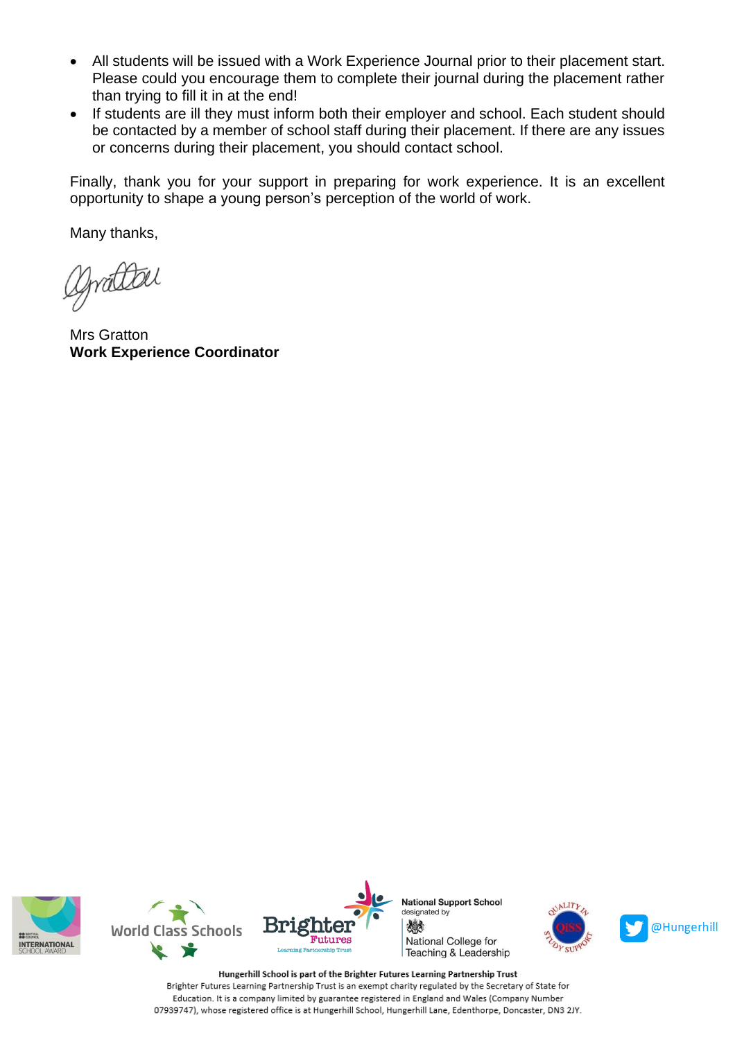- All students will be issued with a Work Experience Journal prior to their placement start. Please could you encourage them to complete their journal during the placement rather than trying to fill it in at the end!
- If students are ill they must inform both their employer and school. Each student should be contacted by a member of school staff during their placement. If there are any issues or concerns during their placement, you should contact school.

Finally, thank you for your support in preparing for work experience. It is an excellent opportunity to shape a young person's perception of the world of work.

Many thanks,

Drattel

Mrs Gratton **Work Experience Coordinator**







**National Support School** designated by 燃 National College for Teaching & Leadership





Hungerhill School is part of the Brighter Futures Learning Partnership Trust Brighter Futures Learning Partnership Trust is an exempt charity regulated by the Secretary of State for Education. It is a company limited by guarantee registered in England and Wales (Company Number 07939747), whose registered office is at Hungerhill School, Hungerhill Lane, Edenthorpe, Doncaster, DN3 2JY.